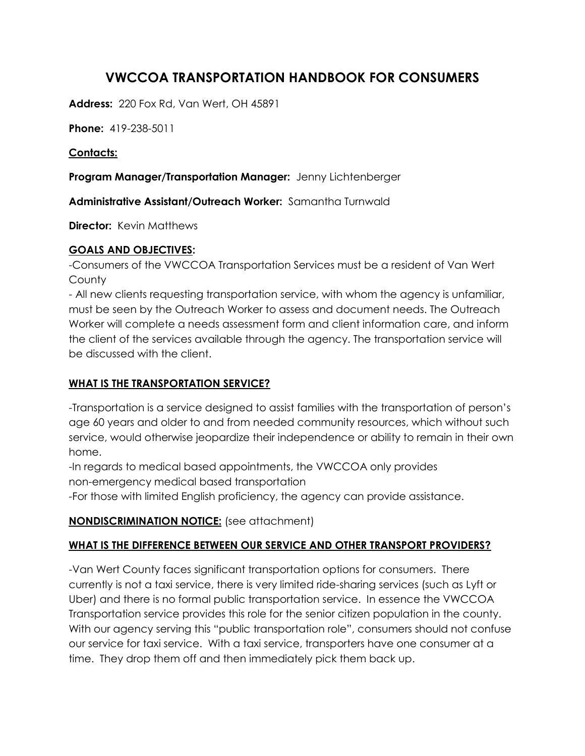# **VWCCOA TRANSPORTATION HANDBOOK FOR CONSUMERS**

**Address:** 220 Fox Rd, Van Wert, OH 45891

**Phone:** 419-238-5011

#### **Contacts:**

**Program Manager/Transportation Manager:** Jenny Lichtenberger

**Administrative Assistant/Outreach Worker:** Samantha Turnwald

**Director:** Kevin Matthews

### **GOALS AND OBJECTIVES:**

-Consumers of the VWCCOA Transportation Services must be a resident of Van Wert **County** 

- All new clients requesting transportation service, with whom the agency is unfamiliar, must be seen by the Outreach Worker to assess and document needs. The Outreach Worker will complete a needs assessment form and client information care, and inform the client of the services available through the agency. The transportation service will be discussed with the client.

### **WHAT IS THE TRANSPORTATION SERVICE?**

-Transportation is a service designed to assist families with the transportation of person's age 60 years and older to and from needed community resources, which without such service, would otherwise jeopardize their independence or ability to remain in their own home.

-In regards to medical based appointments, the VWCCOA only provides non-emergency medical based transportation

-For those with limited English proficiency, the agency can provide assistance.

# **NONDISCRIMINATION NOTICE:** (see attachment)

# **WHAT IS THE DIFFERENCE BETWEEN OUR SERVICE AND OTHER TRANSPORT PROVIDERS?**

-Van Wert County faces significant transportation options for consumers. There currently is not a taxi service, there is very limited ride-sharing services (such as Lyft or Uber) and there is no formal public transportation service. In essence the VWCCOA Transportation service provides this role for the senior citizen population in the county. With our agency serving this "public transportation role", consumers should not confuse our service for taxi service. With a taxi service, transporters have one consumer at a time. They drop them off and then immediately pick them back up.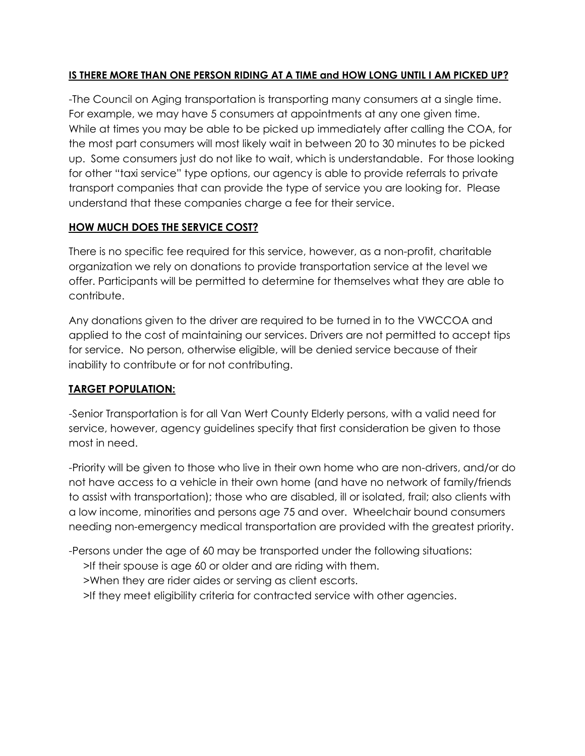### **IS THERE MORE THAN ONE PERSON RIDING AT A TIME and HOW LONG UNTIL I AM PICKED UP?**

-The Council on Aging transportation is transporting many consumers at a single time. For example, we may have 5 consumers at appointments at any one given time. While at times you may be able to be picked up immediately after calling the COA, for the most part consumers will most likely wait in between 20 to 30 minutes to be picked up. Some consumers just do not like to wait, which is understandable. For those looking for other "taxi service" type options, our agency is able to provide referrals to private transport companies that can provide the type of service you are looking for. Please understand that these companies charge a fee for their service.

# **HOW MUCH DOES THE SERVICE COST?**

There is no specific fee required for this service, however, as a non-profit, charitable organization we rely on donations to provide transportation service at the level we offer. Participants will be permitted to determine for themselves what they are able to contribute.

Any donations given to the driver are required to be turned in to the VWCCOA and applied to the cost of maintaining our services. Drivers are not permitted to accept tips for service. No person, otherwise eligible, will be denied service because of their inability to contribute or for not contributing.

# **TARGET POPULATION:**

-Senior Transportation is for all Van Wert County Elderly persons, with a valid need for service, however, agency guidelines specify that first consideration be given to those most in need.

-Priority will be given to those who live in their own home who are non-drivers, and/or do not have access to a vehicle in their own home (and have no network of family/friends to assist with transportation); those who are disabled, ill or isolated, frail; also clients with a low income, minorities and persons age 75 and over. Wheelchair bound consumers needing non-emergency medical transportation are provided with the greatest priority.

-Persons under the age of 60 may be transported under the following situations:

- >If their spouse is age 60 or older and are riding with them.
- >When they are rider aides or serving as client escorts.
- >If they meet eligibility criteria for contracted service with other agencies.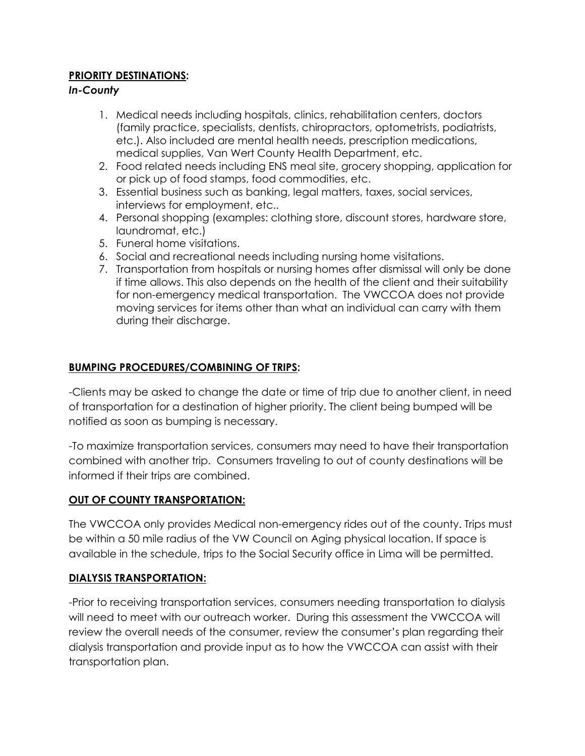### **PRIORITY DESTINATIONS:**

#### *In-County*

- 1. Medical needs including hospitals, clinics, rehabilitation centers, doctors (family practice, specialists, dentists, chiropractors, optometrists, podiatrists, etc.). Also included are mental health needs, prescription medications, medical supplies, Van Wert County Health Department, etc.
- 2. Food related needs including ENS meal site, grocery shopping, application for or pick up of food stamps, food commodities, etc.
- 3. Essential business such as banking, legal matters, taxes, social services, interviews for employment, etc..
- 4. Personal shopping (examples: clothing store, discount stores, hardware store, laundromat, etc.)
- 5. Funeral home visitations.
- 6. Social and recreational needs including nursing home visitations.
- 7. Transportation from hospitals or nursing homes after dismissal will only be done if time allows. This also depends on the health of the client and their suitability for non-emergency medical transportation. The VWCCOA does not provide moving services for items other than what an individual can carry with them during their discharge.

#### **BUMPING PROCEDURES/COMBINING OF TRIPS:**

-Clients may be asked to change the date or time of trip due to another client, in need of transportation for a destination of higher priority. The client being bumped will be notified as soon as bumping is necessary.

-To maximize transportation services, consumers may need to have their transportation combined with another trip. Consumers traveling to out of county destinations will be informed if their trips are combined.

#### **OUT OF COUNTY TRANSPORTATION:**

The VWCCOA only provides Medical non-emergency rides out of the county. Trips must be within a 50 mile radius of the VW Council on Aging physical location. If space is available in the schedule, trips to the Social Security office in Lima will be permitted.

#### **DIALYSIS TRANSPORTATION:**

-Prior to receiving transportation services, consumers needing transportation to dialysis will need to meet with our outreach worker. During this assessment the VWCCOA will review the overall needs of the consumer, review the consumer's plan regarding their dialysis transportation and provide input as to how the VWCCOA can assist with their transportation plan.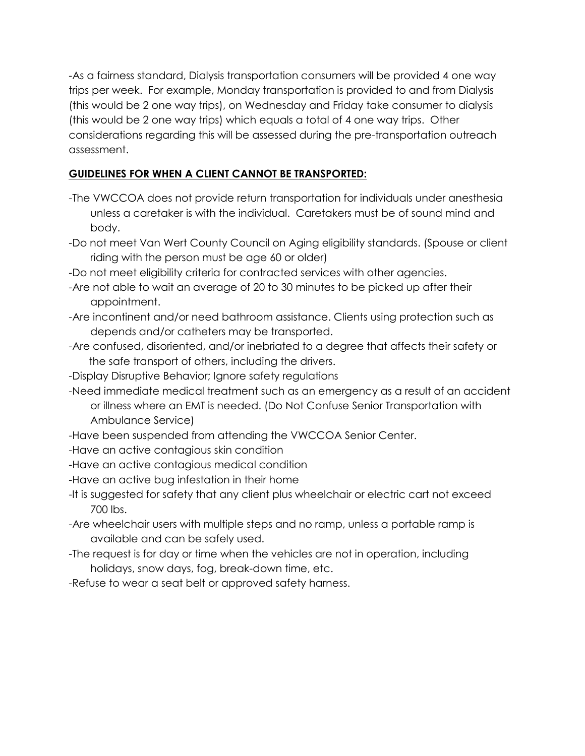-As a fairness standard, Dialysis transportation consumers will be provided 4 one way trips per week. For example, Monday transportation is provided to and from Dialysis (this would be 2 one way trips), on Wednesday and Friday take consumer to dialysis (this would be 2 one way trips) which equals a total of 4 one way trips. Other considerations regarding this will be assessed during the pre-transportation outreach assessment.

### **GUIDELINES FOR WHEN A CLIENT CANNOT BE TRANSPORTED:**

- -The VWCCOA does not provide return transportation for individuals under anesthesia unless a caretaker is with the individual. Caretakers must be of sound mind and body.
- -Do not meet Van Wert County Council on Aging eligibility standards. (Spouse or client riding with the person must be age 60 or older)
- -Do not meet eligibility criteria for contracted services with other agencies.
- -Are not able to wait an average of 20 to 30 minutes to be picked up after their appointment.
- -Are incontinent and/or need bathroom assistance. Clients using protection such as depends and/or catheters may be transported.
- -Are confused, disoriented, and/or inebriated to a degree that affects their safety or the safe transport of others, including the drivers.
- -Display Disruptive Behavior; Ignore safety regulations
- -Need immediate medical treatment such as an emergency as a result of an accident

or illness where an EMT is needed. (Do Not Confuse Senior Transportation with Ambulance Service)

- -Have been suspended from attending the VWCCOA Senior Center.
- -Have an active contagious skin condition
- -Have an active contagious medical condition
- -Have an active bug infestation in their home
- -It is suggested for safety that any client plus wheelchair or electric cart not exceed 700 lbs.
- -Are wheelchair users with multiple steps and no ramp, unless a portable ramp is available and can be safely used.
- -The request is for day or time when the vehicles are not in operation, including holidays, snow days, fog, break-down time, etc.
- -Refuse to wear a seat belt or approved safety harness.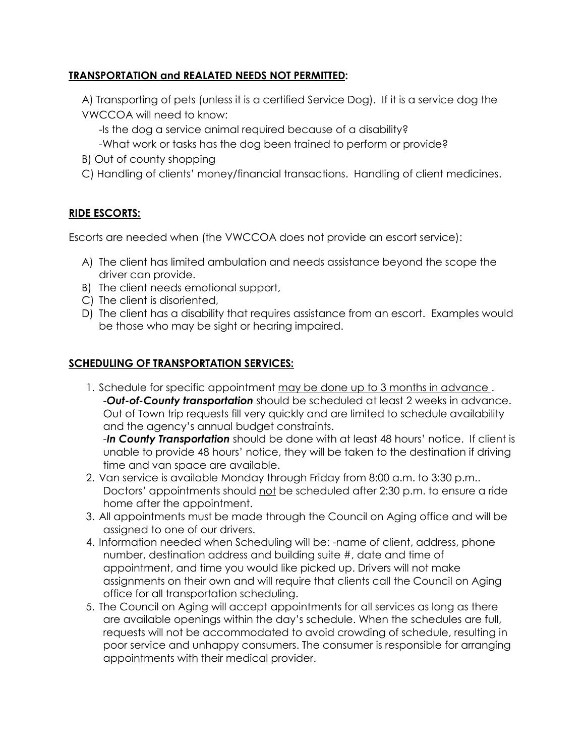### **TRANSPORTATION and REALATED NEEDS NOT PERMITTED:**

A) Transporting of pets (unless it is a certified Service Dog). If it is a service dog the VWCCOA will need to know:

- -Is the dog a service animal required because of a disability?
- -What work or tasks has the dog been trained to perform or provide?
- B) Out of county shopping
- C) Handling of clients' money/financial transactions. Handling of client medicines.

### **RIDE ESCORTS:**

Escorts are needed when (the VWCCOA does not provide an escort service):

- A) The client has limited ambulation and needs assistance beyond the scope the driver can provide.
- B) The client needs emotional support,
- C) The client is disoriented,
- D) The client has a disability that requires assistance from an escort. Examples would be those who may be sight or hearing impaired.

### **SCHEDULING OF TRANSPORTATION SERVICES:**

1. Schedule for specific appointment may be done up to 3 months in advance . -*Out-of-County transportation* should be scheduled at least 2 weeks in advance. Out of Town trip requests fill very quickly and are limited to schedule availability and the agency's annual budget constraints.

-*In County Transportation* should be done with at least 48 hours' notice. If client is unable to provide 48 hours' notice, they will be taken to the destination if driving time and van space are available.

- 2. Van service is available Monday through Friday from 8:00 a.m. to 3:30 p.m.. Doctors' appointments should not be scheduled after 2:30 p.m. to ensure a ride home after the appointment.
- 3. All appointments must be made through the Council on Aging office and will be assigned to one of our drivers.
- 4. Information needed when Scheduling will be: -name of client, address, phone number, destination address and building suite #, date and time of appointment, and time you would like picked up. Drivers will not make assignments on their own and will require that clients call the Council on Aging office for all transportation scheduling.
- 5. The Council on Aging will accept appointments for all services as long as there are available openings within the day's schedule. When the schedules are full, requests will not be accommodated to avoid crowding of schedule, resulting in poor service and unhappy consumers. The consumer is responsible for arranging appointments with their medical provider.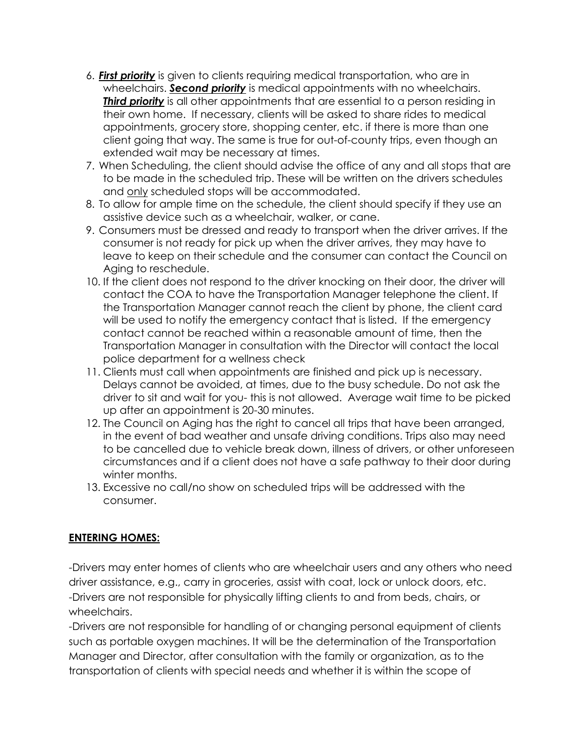- 6. *First priority* is given to clients requiring medical transportation, who are in wheelchairs. *Second priority* is medical appointments with no wheelchairs. *Third priority* is all other appointments that are essential to a person residing in their own home. If necessary, clients will be asked to share rides to medical appointments, grocery store, shopping center, etc. if there is more than one client going that way. The same is true for out-of-county trips, even though an extended wait may be necessary at times.
- 7. When Scheduling, the client should advise the office of any and all stops that are to be made in the scheduled trip. These will be written on the drivers schedules and only scheduled stops will be accommodated.
- 8. To allow for ample time on the schedule, the client should specify if they use an assistive device such as a wheelchair, walker, or cane.
- 9. Consumers must be dressed and ready to transport when the driver arrives. If the consumer is not ready for pick up when the driver arrives, they may have to leave to keep on their schedule and the consumer can contact the Council on Aging to reschedule.
- 10. If the client does not respond to the driver knocking on their door, the driver will contact the COA to have the Transportation Manager telephone the client. If the Transportation Manager cannot reach the client by phone, the client card will be used to notify the emergency contact that is listed. If the emergency contact cannot be reached within a reasonable amount of time, then the Transportation Manager in consultation with the Director will contact the local police department for a wellness check
- 11. Clients must call when appointments are finished and pick up is necessary. Delays cannot be avoided, at times, due to the busy schedule. Do not ask the driver to sit and wait for you- this is not allowed. Average wait time to be picked up after an appointment is 20-30 minutes.
- 12. The Council on Aging has the right to cancel all trips that have been arranged, in the event of bad weather and unsafe driving conditions. Trips also may need to be cancelled due to vehicle break down, illness of drivers, or other unforeseen circumstances and if a client does not have a safe pathway to their door during winter months.
- 13. Excessive no call/no show on scheduled trips will be addressed with the consumer.

#### **ENTERING HOMES:**

-Drivers may enter homes of clients who are wheelchair users and any others who need driver assistance, e.g., carry in groceries, assist with coat, lock or unlock doors, etc. -Drivers are not responsible for physically lifting clients to and from beds, chairs, or wheelchairs.

-Drivers are not responsible for handling of or changing personal equipment of clients such as portable oxygen machines. It will be the determination of the Transportation Manager and Director, after consultation with the family or organization, as to the transportation of clients with special needs and whether it is within the scope of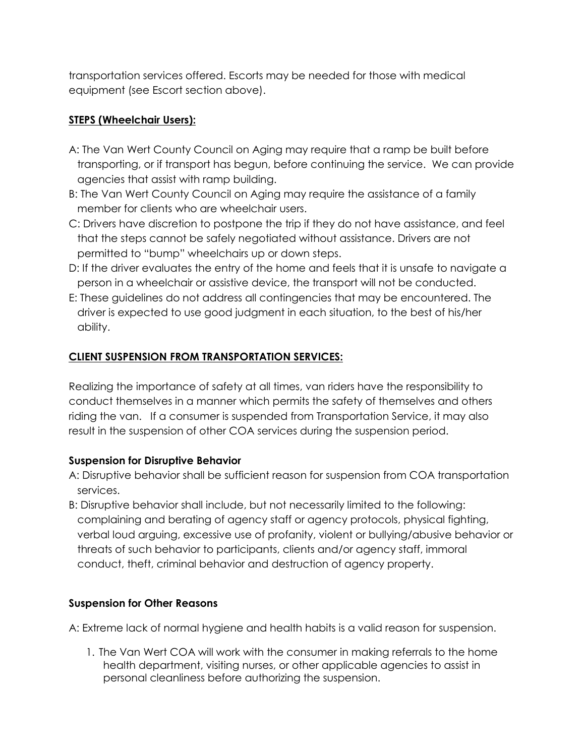transportation services offered. Escorts may be needed for those with medical equipment (see Escort section above).

# **STEPS (Wheelchair Users):**

- A: The Van Wert County Council on Aging may require that a ramp be built before transporting, or if transport has begun, before continuing the service. We can provide agencies that assist with ramp building.
- B: The Van Wert County Council on Aging may require the assistance of a family member for clients who are wheelchair users.
- C: Drivers have discretion to postpone the trip if they do not have assistance, and feel that the steps cannot be safely negotiated without assistance. Drivers are not permitted to "bump" wheelchairs up or down steps.
- D: If the driver evaluates the entry of the home and feels that it is unsafe to navigate a person in a wheelchair or assistive device, the transport will not be conducted.
- E: These guidelines do not address all contingencies that may be encountered. The driver is expected to use good judgment in each situation, to the best of his/her ability.

# **CLIENT SUSPENSION FROM TRANSPORTATION SERVICES:**

Realizing the importance of safety at all times, van riders have the responsibility to conduct themselves in a manner which permits the safety of themselves and others riding the van. If a consumer is suspended from Transportation Service, it may also result in the suspension of other COA services during the suspension period.

# **Suspension for Disruptive Behavior**

- A: Disruptive behavior shall be sufficient reason for suspension from COA transportation services.
- B: Disruptive behavior shall include, but not necessarily limited to the following: complaining and berating of agency staff or agency protocols, physical fighting, verbal loud arguing, excessive use of profanity, violent or bullying/abusive behavior or threats of such behavior to participants, clients and/or agency staff, immoral conduct, theft, criminal behavior and destruction of agency property.

# **Suspension for Other Reasons**

A: Extreme lack of normal hygiene and health habits is a valid reason for suspension.

1. The Van Wert COA will work with the consumer in making referrals to the home health department, visiting nurses, or other applicable agencies to assist in personal cleanliness before authorizing the suspension.